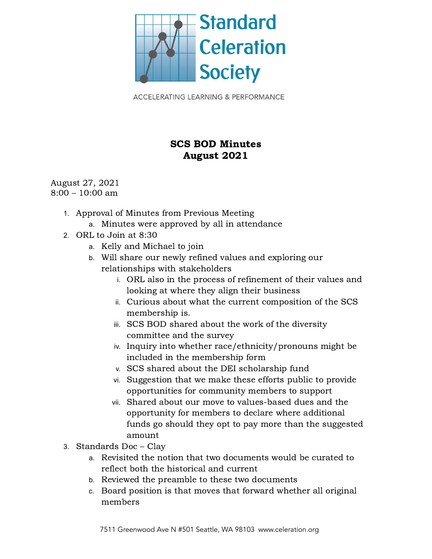

**ACCELERATING LEARNING & PERFORMANCE** 

## SCS BOD Minutes August 2021

August 27, 2021 8:00 – 10:00 am

- 1. Approval of Minutes from Previous Meeting
	- a. Minutes were approved by all in attendance
- 2. ORL to Join at 8:30
	- a. Kelly and Michael to join
	- b. Will share our newly refined values and exploring our relationships with stakeholders
		- i. ORL also in the process of refinement of their values and looking at where they align their business
		- ii. Curious about what the current composition of the SCS membership is.
		- iii. SCS BOD shared about the work of the diversity committee and the survey
		- iv. Inquiry into whether race/ethnicity/pronouns might be included in the membership form
		- v. SCS shared about the DEI scholarship fund
		- vi. Suggestion that we make these efforts public to provide opportunities for community members to support
		- vii. Shared about our move to values-based dues and the opportunity for members to declare where additional funds go should they opt to pay more than the suggested amount
- 3. Standards Doc Clay
	- a. Revisited the notion that two documents would be curated to reflect both the historical and current
	- b. Reviewed the preamble to these two documents
	- c. Board position is that moves that forward whether all original members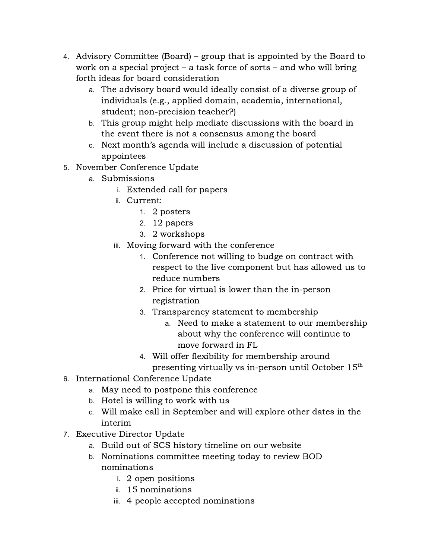- 4. Advisory Committee (Board) group that is appointed by the Board to work on a special project – a task force of sorts – and who will bring forth ideas for board consideration
	- a. The advisory board would ideally consist of a diverse group of individuals (e.g., applied domain, academia, international, student; non-precision teacher?)
	- b. This group might help mediate discussions with the board in the event there is not a consensus among the board
	- c. Next month's agenda will include a discussion of potential appointees
- 5. November Conference Update
	- a. Submissions
		- i. Extended call for papers
		- ii. Current:
			- 1. 2 posters
			- 2. 12 papers
			- 3. 2 workshops
		- iii. Moving forward with the conference
			- 1. Conference not willing to budge on contract with respect to the live component but has allowed us to reduce numbers
			- 2. Price for virtual is lower than the in-person registration
			- 3. Transparency statement to membership
				- a. Need to make a statement to our membership about why the conference will continue to move forward in FL
			- Will offer flexibility for membership around presenting virtually vs in-person until October  $15^{\text{th}}$
- 6. International Conference Update
	- a. May need to postpone this conference
	- b. Hotel is willing to work with us
	- c. Will make call in September and will explore other dates in the interim
- 7. Executive Director Update
	- a. Build out of SCS history timeline on our website
	- b. Nominations committee meeting today to review BOD nominations
		- i. 2 open positions
		- ii. 15 nominations
		- iii. 4 people accepted nominations